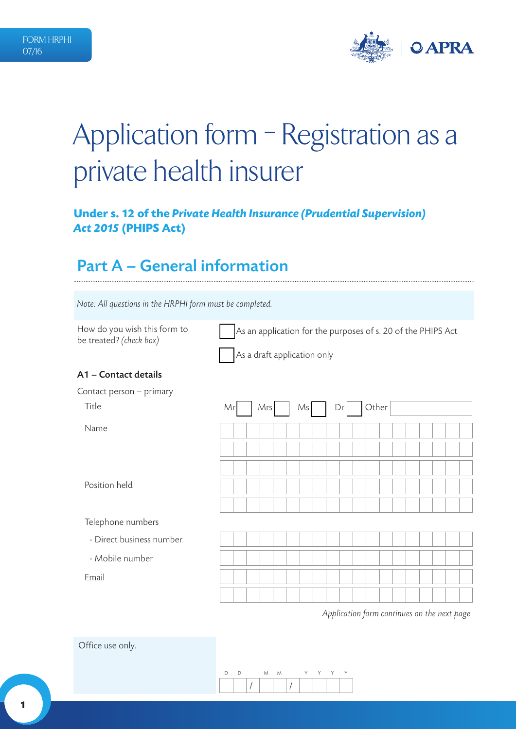

# Application form – Registration as a private health insurer

### **Under s. 12 of the** *Private Health Insurance (Prudential Supervision) Act 2015* **(PHIPS Act)**

### Part A – General information

*Note: All questions in the HRPHI form must be completed.* 

| How do you wish this form to<br>be treated? (check box) | As an application for the purposes of s. 20 of the PHIPS Act |  |  |  |  |  |  |  |  |  |
|---------------------------------------------------------|--------------------------------------------------------------|--|--|--|--|--|--|--|--|--|
|                                                         | As a draft application only                                  |  |  |  |  |  |  |  |  |  |
| A1 - Contact details                                    |                                                              |  |  |  |  |  |  |  |  |  |
| Contact person - primary                                |                                                              |  |  |  |  |  |  |  |  |  |
| Title                                                   | Other<br>Mrs<br>Mrl<br>Ms<br>Drl                             |  |  |  |  |  |  |  |  |  |
| Name                                                    |                                                              |  |  |  |  |  |  |  |  |  |
|                                                         |                                                              |  |  |  |  |  |  |  |  |  |
|                                                         |                                                              |  |  |  |  |  |  |  |  |  |
| Position held                                           |                                                              |  |  |  |  |  |  |  |  |  |
|                                                         |                                                              |  |  |  |  |  |  |  |  |  |
| Telephone numbers                                       |                                                              |  |  |  |  |  |  |  |  |  |
| - Direct business number                                |                                                              |  |  |  |  |  |  |  |  |  |
| - Mobile number                                         |                                                              |  |  |  |  |  |  |  |  |  |
| Email                                                   |                                                              |  |  |  |  |  |  |  |  |  |
|                                                         |                                                              |  |  |  |  |  |  |  |  |  |
|                                                         |                                                              |  |  |  |  |  |  |  |  |  |

*Application form continues on the next page*

Office use only.

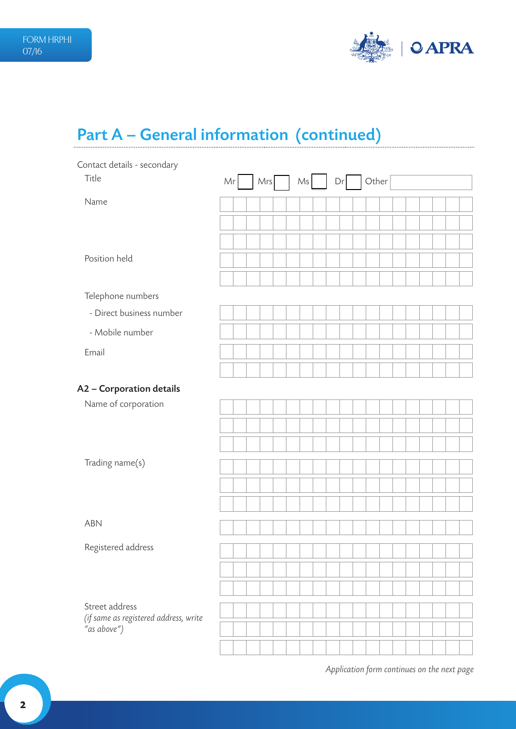

## Part A – General information (continued)

| Contact details - secondary                          |                                |
|------------------------------------------------------|--------------------------------|
| Title                                                | Other<br>Ms<br>Mrs<br>Mr<br>Dr |
| Name                                                 |                                |
|                                                      |                                |
|                                                      |                                |
| Position held                                        |                                |
|                                                      |                                |
| Telephone numbers                                    |                                |
| - Direct business number                             |                                |
| - Mobile number                                      |                                |
| Email                                                |                                |
|                                                      |                                |
| A2 - Corporation details                             |                                |
| Name of corporation                                  |                                |
|                                                      |                                |
|                                                      |                                |
| Trading name(s)                                      |                                |
|                                                      |                                |
|                                                      |                                |
| ABN                                                  |                                |
|                                                      |                                |
| Registered address                                   |                                |
|                                                      |                                |
|                                                      |                                |
| Street address                                       |                                |
| (if same as registered address, write<br>"as above") |                                |
|                                                      |                                |
|                                                      |                                |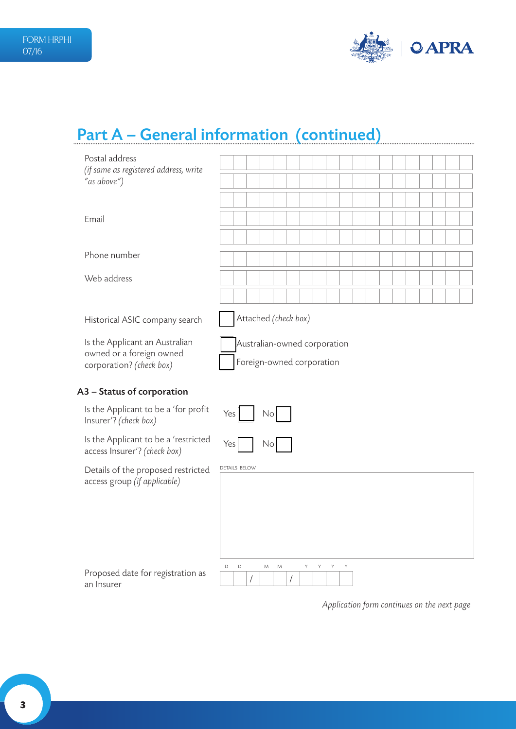

## Part A – General information (continued)

| Postal address                                                                         |                                                           |
|----------------------------------------------------------------------------------------|-----------------------------------------------------------|
| (if same as registered address, write<br>"as above")                                   |                                                           |
|                                                                                        |                                                           |
| Email                                                                                  |                                                           |
|                                                                                        |                                                           |
| Phone number                                                                           |                                                           |
| Web address                                                                            |                                                           |
|                                                                                        |                                                           |
| Historical ASIC company search                                                         | Attached (check box)                                      |
| Is the Applicant an Australian<br>owned or a foreign owned<br>corporation? (check box) | Australian-owned corporation<br>Foreign-owned corporation |
|                                                                                        |                                                           |
| A3 - Status of corporation                                                             |                                                           |
| Is the Applicant to be a 'for profit<br>Insurer'? (check box)                          | Yes<br>No                                                 |
| Is the Applicant to be a 'restricted<br>access Insurer'? (check box)                   | Yes<br>No                                                 |
| Details of the proposed restricted                                                     | <b>DETAILS BELOW</b>                                      |
| access group (if applicable)                                                           |                                                           |
|                                                                                        |                                                           |
|                                                                                        |                                                           |
|                                                                                        | Y<br>D<br>${\mathsf M}$<br>Y<br>Y<br>Y<br>D<br>М          |
| Proposed date for registration as<br>an Insurer                                        | /<br>1                                                    |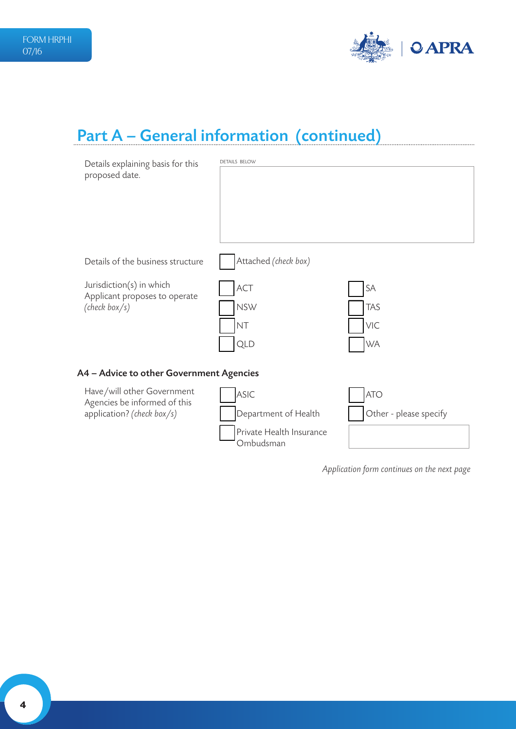

## Part A – General information (continued)

| Details explaining basis for this<br>proposed date.                                      | <b>DETAILS BELOW</b>                                                  |                                      |
|------------------------------------------------------------------------------------------|-----------------------------------------------------------------------|--------------------------------------|
| Details of the business structure                                                        | Attached (check box)                                                  |                                      |
| Jurisdiction(s) in which<br>Applicant proposes to operate<br>(check box/s)               | ACT<br><b>NSW</b><br><b>NT</b><br><b>QLD</b>                          | SA<br><b>TAS</b><br>VIC<br><b>WA</b> |
| A4 - Advice to other Government Agencies                                                 |                                                                       |                                      |
| Have/will other Government<br>Agencies be informed of this<br>application? (check box/s) | ASIC<br>Department of Health<br>Private Health Insurance<br>Ombudsman | <b>ATO</b><br>Other - please specify |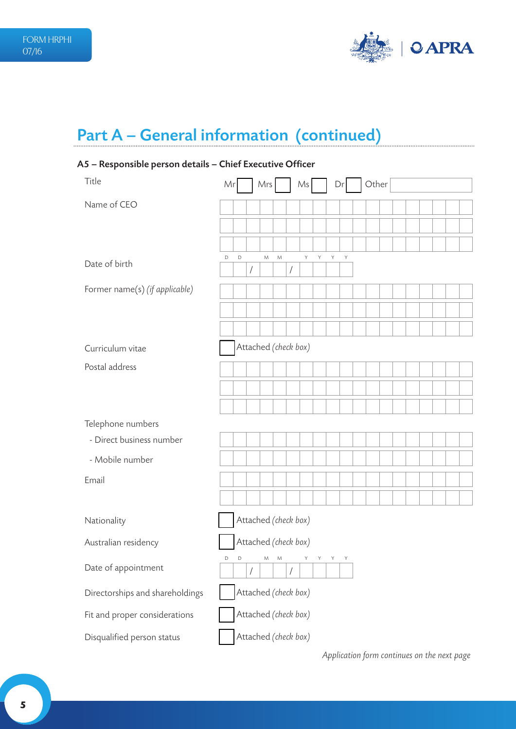

## Part A – General information (continued)

### A5 – Responsible person details – Chief Executive Officer

| Title                           | Mr |   |   | Mrs     |   |                      | Ms |       |   | Dr          | Other |  |  |  |  |
|---------------------------------|----|---|---|---------|---|----------------------|----|-------|---|-------------|-------|--|--|--|--|
| Name of CEO                     |    |   |   |         |   |                      |    |       |   |             |       |  |  |  |  |
|                                 |    |   |   |         |   |                      |    |       |   |             |       |  |  |  |  |
|                                 |    |   |   |         |   |                      |    |       |   |             |       |  |  |  |  |
| Date of birth                   | D  | D | Т | M       | M | /                    | Υ  | Y     | Υ | $\mathsf Y$ |       |  |  |  |  |
| Former name(s) (if applicable)  |    |   |   |         |   |                      |    |       |   |             |       |  |  |  |  |
|                                 |    |   |   |         |   |                      |    |       |   |             |       |  |  |  |  |
|                                 |    |   |   |         |   |                      |    |       |   |             |       |  |  |  |  |
| Curriculum vitae                |    |   |   |         |   | Attached (check box) |    |       |   |             |       |  |  |  |  |
| Postal address                  |    |   |   |         |   |                      |    |       |   |             |       |  |  |  |  |
|                                 |    |   |   |         |   |                      |    |       |   |             |       |  |  |  |  |
|                                 |    |   |   |         |   |                      |    |       |   |             |       |  |  |  |  |
| Telephone numbers               |    |   |   |         |   |                      |    |       |   |             |       |  |  |  |  |
| - Direct business number        |    |   |   |         |   |                      |    |       |   |             |       |  |  |  |  |
| - Mobile number                 |    |   |   |         |   |                      |    |       |   |             |       |  |  |  |  |
| Email                           |    |   |   |         |   |                      |    |       |   |             |       |  |  |  |  |
|                                 |    |   |   |         |   |                      |    |       |   |             |       |  |  |  |  |
| Nationality                     |    |   |   |         |   | Attached (check box) |    |       |   |             |       |  |  |  |  |
| Australian residency            |    |   |   |         |   | Attached (check box) |    |       |   |             |       |  |  |  |  |
| Date of appointment             | D  | D | Т | $M$ $M$ |   | 1                    | Y. | Y Y Y |   |             |       |  |  |  |  |
| Directorships and shareholdings |    |   |   |         |   | Attached (check box) |    |       |   |             |       |  |  |  |  |
| Fit and proper considerations   |    |   |   |         |   | Attached (check box) |    |       |   |             |       |  |  |  |  |
| Disqualified person status      |    |   |   |         |   | Attached (check box) |    |       |   |             |       |  |  |  |  |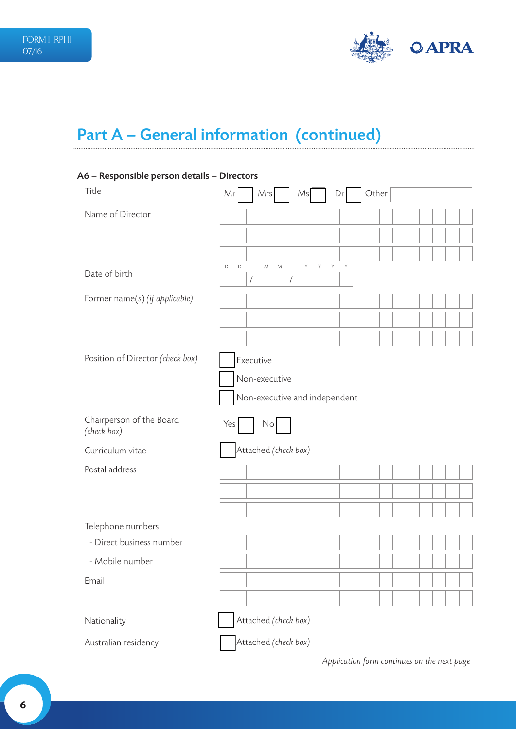

## Part A – General information (continued)

### A6 – Responsible person details – Directors

| Title                                   | Other<br>Mr<br>Dr<br>Mrs<br>Ms                                             |
|-----------------------------------------|----------------------------------------------------------------------------|
| Name of Director                        |                                                                            |
|                                         |                                                                            |
|                                         |                                                                            |
| Date of birth                           | Υ<br>Υ<br>Y<br>$\mathsf Y$<br>D<br>D<br>M<br>M<br>$\sqrt{2}$<br>$\sqrt{2}$ |
| Former name(s) (if applicable)          |                                                                            |
|                                         |                                                                            |
|                                         |                                                                            |
| Position of Director (check box)        | Executive                                                                  |
|                                         | Non-executive                                                              |
|                                         | Non-executive and independent                                              |
| Chairperson of the Board<br>(check box) | No<br>Yes                                                                  |
| Curriculum vitae                        | Attached (check box)                                                       |
| Postal address                          |                                                                            |
|                                         |                                                                            |
|                                         |                                                                            |
| Telephone numbers                       |                                                                            |
| - Direct business number                |                                                                            |
| - Mobile number                         |                                                                            |
| Email                                   |                                                                            |
|                                         |                                                                            |
| Nationality                             | Attached (check box)                                                       |
| Australian residency                    | Attached (check box)                                                       |
|                                         | Application form continues on the next page                                |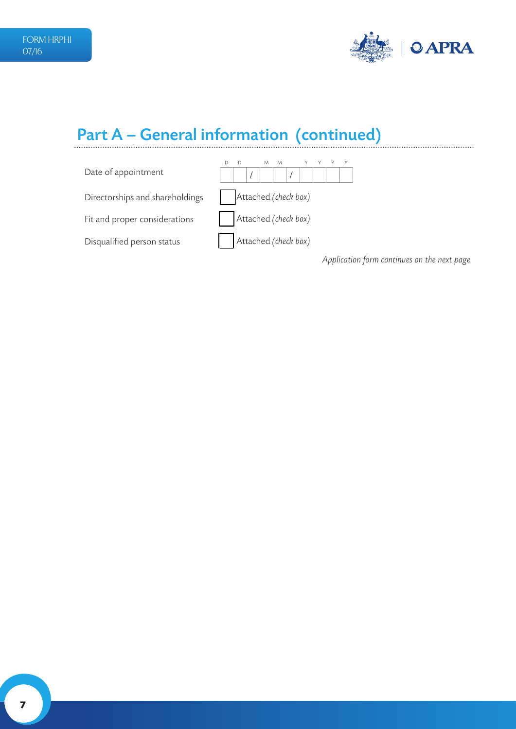

## Part A – General information (continued)



**7**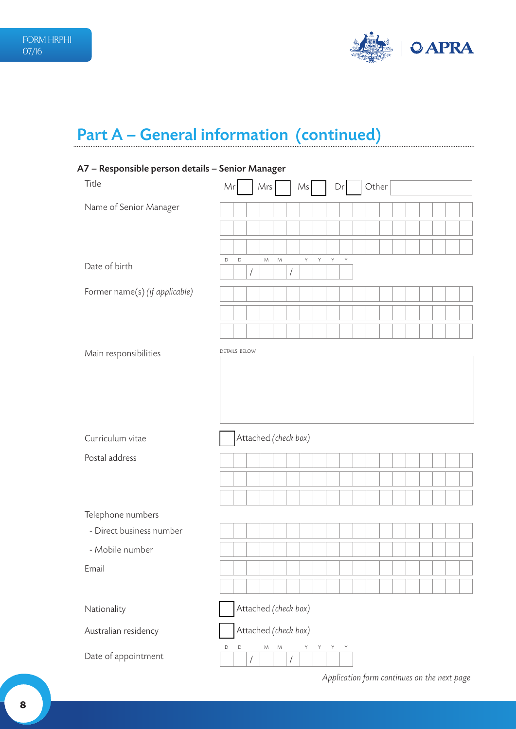

## Part A – General information (continued)

### A7 – Responsible person details – Senior Manager

| Title                          | Mr                   |   |            | Mrs                  |               |            | Ms |   |   | Dr          | Other |  |  |  |  |
|--------------------------------|----------------------|---|------------|----------------------|---------------|------------|----|---|---|-------------|-------|--|--|--|--|
| Name of Senior Manager         |                      |   |            |                      |               |            |    |   |   |             |       |  |  |  |  |
|                                |                      |   |            |                      |               |            |    |   |   |             |       |  |  |  |  |
|                                |                      |   |            |                      |               |            |    |   |   |             |       |  |  |  |  |
| Date of birth                  | D                    | D | $\sqrt{2}$ | M                    | ${\mathsf M}$ | $\sqrt{2}$ | Υ  | Υ | Y | $\mathsf Y$ |       |  |  |  |  |
| Former name(s) (if applicable) |                      |   |            |                      |               |            |    |   |   |             |       |  |  |  |  |
|                                |                      |   |            |                      |               |            |    |   |   |             |       |  |  |  |  |
|                                |                      |   |            |                      |               |            |    |   |   |             |       |  |  |  |  |
|                                |                      |   |            |                      |               |            |    |   |   |             |       |  |  |  |  |
| Main responsibilities          | <b>DETAILS BELOW</b> |   |            |                      |               |            |    |   |   |             |       |  |  |  |  |
|                                |                      |   |            |                      |               |            |    |   |   |             |       |  |  |  |  |
| Curriculum vitae               |                      |   |            | Attached (check box) |               |            |    |   |   |             |       |  |  |  |  |
| Postal address                 |                      |   |            |                      |               |            |    |   |   |             |       |  |  |  |  |
|                                |                      |   |            |                      |               |            |    |   |   |             |       |  |  |  |  |
|                                |                      |   |            |                      |               |            |    |   |   |             |       |  |  |  |  |
| Telephone numbers              |                      |   |            |                      |               |            |    |   |   |             |       |  |  |  |  |
| - Direct business number       |                      |   |            |                      |               |            |    |   |   |             |       |  |  |  |  |
| - Mobile number                |                      |   |            |                      |               |            |    |   |   |             |       |  |  |  |  |
| Email                          |                      |   |            |                      |               |            |    |   |   |             |       |  |  |  |  |
|                                |                      |   |            |                      |               |            |    |   |   |             |       |  |  |  |  |
| Nationality                    |                      |   |            | Attached (check box) |               |            |    |   |   |             |       |  |  |  |  |
| Australian residency           |                      |   |            | Attached (check box) |               |            |    |   |   |             |       |  |  |  |  |
| Date of appointment            | D                    | D | $\sqrt{2}$ | М                    | M             |            | Υ  | Υ | Υ | Υ           |       |  |  |  |  |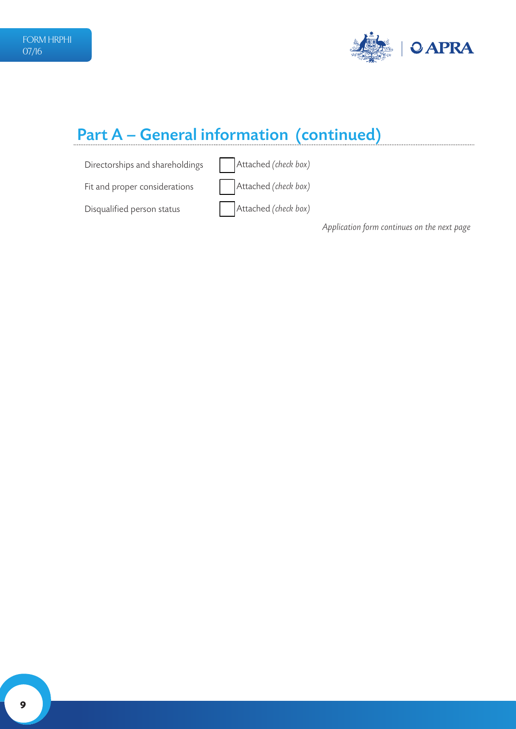

### Part A – General information (continued)

Directorships and shareholdings **Attached** (check box)

Fit and proper considerations **Attached** (*check box*)

Disqualified person status **Attached** (*check box*)

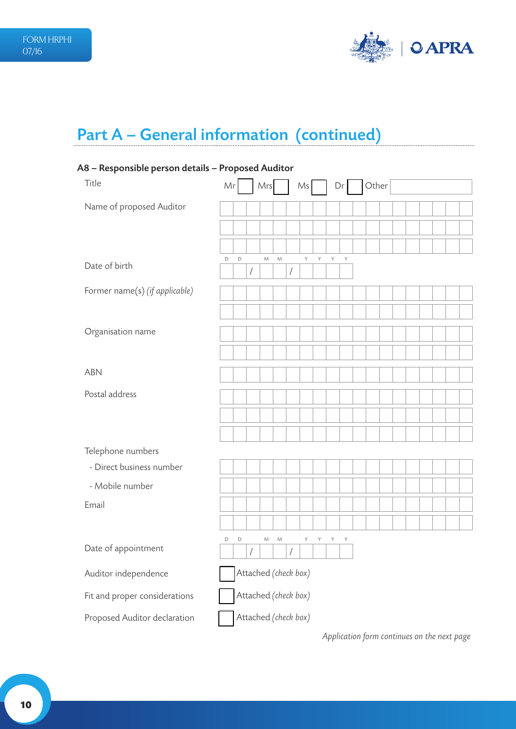

## Part A – General information (continued)

### A8 – Responsible person details – Proposed Auditor

| Title                          | Mr |             |            | Mrs                  |               |                      | Ms |   | Dr |   | Other |  |  |  |  |
|--------------------------------|----|-------------|------------|----------------------|---------------|----------------------|----|---|----|---|-------|--|--|--|--|
| Name of proposed Auditor       |    |             |            |                      |               |                      |    |   |    |   |       |  |  |  |  |
|                                |    |             |            |                      |               |                      |    |   |    |   |       |  |  |  |  |
|                                |    |             |            |                      |               |                      |    |   |    |   |       |  |  |  |  |
| Date of birth                  | D  | $\mathsf D$ | $\sqrt{2}$ | ${\mathsf M}$        | ${\mathsf M}$ | $\sqrt{\phantom{a}}$ | Υ  | Υ | Y  | Y |       |  |  |  |  |
| Former name(s) (if applicable) |    |             |            |                      |               |                      |    |   |    |   |       |  |  |  |  |
|                                |    |             |            |                      |               |                      |    |   |    |   |       |  |  |  |  |
| Organisation name              |    |             |            |                      |               |                      |    |   |    |   |       |  |  |  |  |
|                                |    |             |            |                      |               |                      |    |   |    |   |       |  |  |  |  |
| <b>ABN</b>                     |    |             |            |                      |               |                      |    |   |    |   |       |  |  |  |  |
| Postal address                 |    |             |            |                      |               |                      |    |   |    |   |       |  |  |  |  |
|                                |    |             |            |                      |               |                      |    |   |    |   |       |  |  |  |  |
|                                |    |             |            |                      |               |                      |    |   |    |   |       |  |  |  |  |
| Telephone numbers              |    |             |            |                      |               |                      |    |   |    |   |       |  |  |  |  |
| - Direct business number       |    |             |            |                      |               |                      |    |   |    |   |       |  |  |  |  |
| - Mobile number                |    |             |            |                      |               |                      |    |   |    |   |       |  |  |  |  |
| Email                          |    |             |            |                      |               |                      |    |   |    |   |       |  |  |  |  |
|                                |    |             |            |                      |               |                      |    |   |    |   |       |  |  |  |  |
| Date of appointment            | D  | $\mathsf D$ | $\sqrt{2}$ | M                    | ${\mathsf M}$ | $\sqrt{2}$           | Υ  | Υ | Υ  | Y |       |  |  |  |  |
| Auditor independence           |    |             |            | Attached (check box) |               |                      |    |   |    |   |       |  |  |  |  |
| Fit and proper considerations  |    |             |            | Attached (check box) |               |                      |    |   |    |   |       |  |  |  |  |
| Proposed Auditor declaration   |    |             |            | Attached (check box) |               |                      |    |   |    |   |       |  |  |  |  |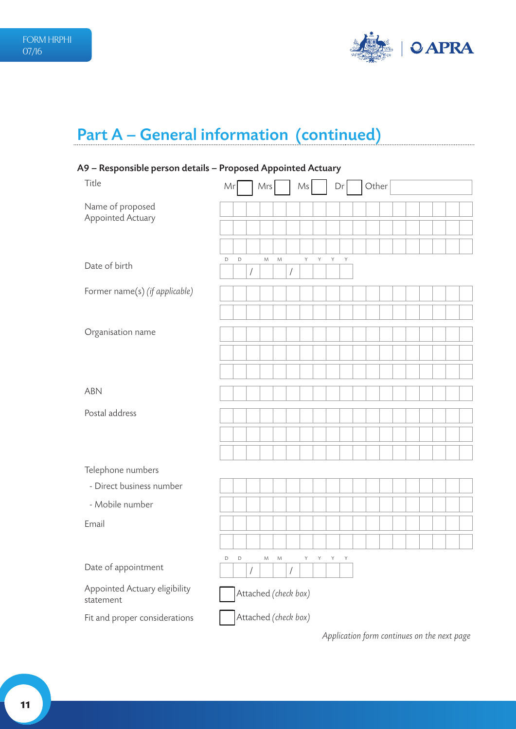

## Part A – General information (continued)

### A9 – Responsible person details – Proposed Appointed Actuary

| Title                                      | Mr |             |            | Mrs                  |               |                      | Ms |   |   | Dr | Other |  |  |  |  |
|--------------------------------------------|----|-------------|------------|----------------------|---------------|----------------------|----|---|---|----|-------|--|--|--|--|
| Name of proposed                           |    |             |            |                      |               |                      |    |   |   |    |       |  |  |  |  |
| Appointed Actuary                          |    |             |            |                      |               |                      |    |   |   |    |       |  |  |  |  |
|                                            |    |             |            |                      |               |                      |    |   |   |    |       |  |  |  |  |
| Date of birth                              | D  | $\mathsf D$ | $\bigg)$   | ${\mathsf M}$        | ${\sf M}$     | $\sqrt{\phantom{a}}$ | Υ  | Y | Y | Y  |       |  |  |  |  |
| Former name(s) (if applicable)             |    |             |            |                      |               |                      |    |   |   |    |       |  |  |  |  |
|                                            |    |             |            |                      |               |                      |    |   |   |    |       |  |  |  |  |
| Organisation name                          |    |             |            |                      |               |                      |    |   |   |    |       |  |  |  |  |
|                                            |    |             |            |                      |               |                      |    |   |   |    |       |  |  |  |  |
|                                            |    |             |            |                      |               |                      |    |   |   |    |       |  |  |  |  |
| <b>ABN</b>                                 |    |             |            |                      |               |                      |    |   |   |    |       |  |  |  |  |
| Postal address                             |    |             |            |                      |               |                      |    |   |   |    |       |  |  |  |  |
|                                            |    |             |            |                      |               |                      |    |   |   |    |       |  |  |  |  |
|                                            |    |             |            |                      |               |                      |    |   |   |    |       |  |  |  |  |
| Telephone numbers                          |    |             |            |                      |               |                      |    |   |   |    |       |  |  |  |  |
| - Direct business number                   |    |             |            |                      |               |                      |    |   |   |    |       |  |  |  |  |
| - Mobile number                            |    |             |            |                      |               |                      |    |   |   |    |       |  |  |  |  |
| Email                                      |    |             |            |                      |               |                      |    |   |   |    |       |  |  |  |  |
|                                            |    |             |            |                      |               |                      |    |   |   |    |       |  |  |  |  |
| Date of appointment                        | D  | $\mathsf D$ | $\sqrt{2}$ | M                    | ${\mathsf M}$ | 1                    | Y  | Υ | Y | Y  |       |  |  |  |  |
| Appointed Actuary eligibility<br>statement |    |             |            | Attached (check box) |               |                      |    |   |   |    |       |  |  |  |  |
| Fit and proper considerations              |    |             |            | Attached (check box) |               |                      |    |   |   |    |       |  |  |  |  |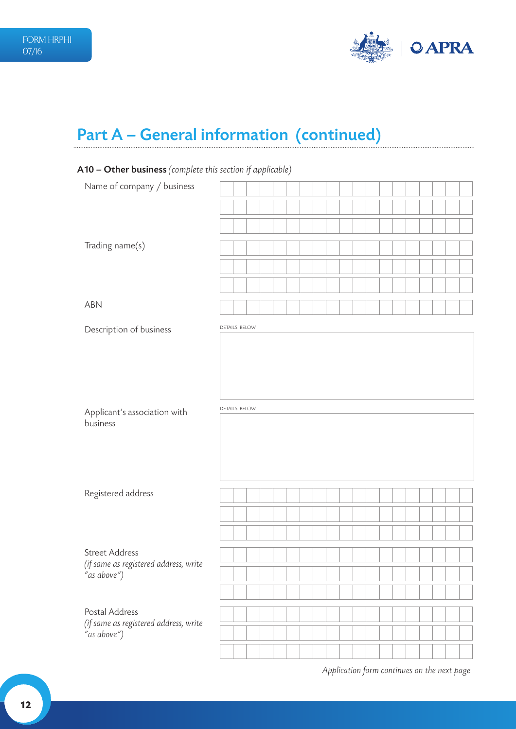

## Part A – General information (continued)

### A10 – Other business *(complete this section if applicable)*

| Name of company / business                           |                      |  |  |  |  |  |  |  |  |  |
|------------------------------------------------------|----------------------|--|--|--|--|--|--|--|--|--|
|                                                      |                      |  |  |  |  |  |  |  |  |  |
|                                                      |                      |  |  |  |  |  |  |  |  |  |
| Trading name(s)                                      |                      |  |  |  |  |  |  |  |  |  |
|                                                      |                      |  |  |  |  |  |  |  |  |  |
|                                                      |                      |  |  |  |  |  |  |  |  |  |
| ABN                                                  |                      |  |  |  |  |  |  |  |  |  |
| Description of business                              | <b>DETAILS BELOW</b> |  |  |  |  |  |  |  |  |  |
|                                                      |                      |  |  |  |  |  |  |  |  |  |
|                                                      |                      |  |  |  |  |  |  |  |  |  |
|                                                      |                      |  |  |  |  |  |  |  |  |  |
| Applicant's association with                         | <b>DETAILS BELOW</b> |  |  |  |  |  |  |  |  |  |
| business                                             |                      |  |  |  |  |  |  |  |  |  |
|                                                      |                      |  |  |  |  |  |  |  |  |  |
|                                                      |                      |  |  |  |  |  |  |  |  |  |
| Registered address                                   |                      |  |  |  |  |  |  |  |  |  |
|                                                      |                      |  |  |  |  |  |  |  |  |  |
|                                                      |                      |  |  |  |  |  |  |  |  |  |
|                                                      |                      |  |  |  |  |  |  |  |  |  |
| <b>Street Address</b>                                |                      |  |  |  |  |  |  |  |  |  |
| (if same as registered address, write<br>"as above") |                      |  |  |  |  |  |  |  |  |  |
|                                                      |                      |  |  |  |  |  |  |  |  |  |
| Postal Address                                       |                      |  |  |  |  |  |  |  |  |  |
| (if same as registered address, write<br>"as above") |                      |  |  |  |  |  |  |  |  |  |
|                                                      |                      |  |  |  |  |  |  |  |  |  |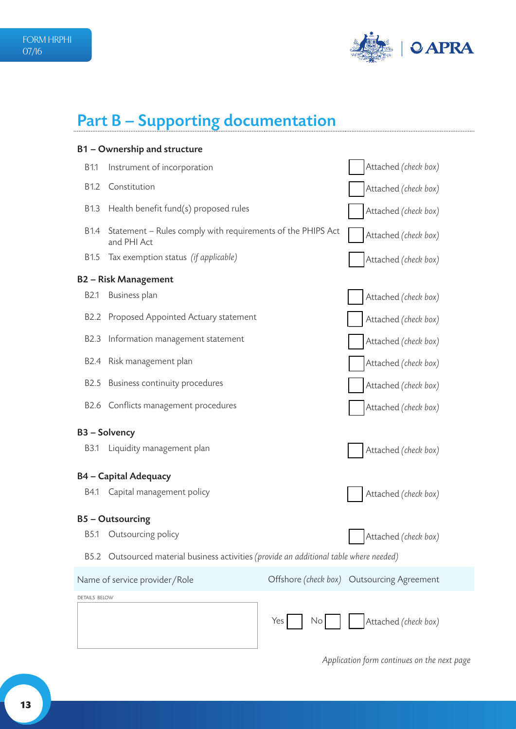

## Part B – Supporting documentation

|                  | B1 - Ownership and structure                                                       |                      |                                            |
|------------------|------------------------------------------------------------------------------------|----------------------|--------------------------------------------|
| B1.1             | Instrument of incorporation                                                        |                      | Attached (check box)                       |
| B <sub>1.2</sub> | Constitution                                                                       |                      | Attached (check box)                       |
| B1.3             | Health benefit fund(s) proposed rules                                              |                      | Attached (check box)                       |
| <b>B1.4</b>      | Statement - Rules comply with requirements of the PHIPS Act<br>and PHI Act         |                      | Attached (check box)                       |
| B <sub>1.5</sub> | Tax exemption status (if applicable)                                               |                      | Attached (check box)                       |
|                  | <b>B2-Risk Management</b>                                                          |                      |                                            |
| <b>B2.1</b>      | Business plan                                                                      |                      | Attached (check box)                       |
| B <sub>2.2</sub> | Proposed Appointed Actuary statement                                               |                      | Attached (check box)                       |
| <b>B2.3</b>      | Information management statement                                                   |                      | Attached (check box)                       |
| B2.4             | Risk management plan                                                               |                      | Attached (check box)                       |
| B <sub>2.5</sub> | Business continuity procedures                                                     |                      | Attached (check box)                       |
| B2.6             | Conflicts management procedures                                                    |                      | Attached (check box)                       |
|                  | <b>B3-Solvency</b>                                                                 |                      |                                            |
| <b>B3.1</b>      | Liquidity management plan                                                          |                      | Attached (check box)                       |
|                  | <b>B4 - Capital Adequacy</b>                                                       |                      |                                            |
| B4.1             | Capital management policy                                                          |                      | Attached (check box)                       |
|                  | <b>B5-Outsourcing</b>                                                              |                      |                                            |
| <b>B5.1</b>      | Outsourcing policy                                                                 |                      | Attached (check box)                       |
| <b>B5.2</b>      | Outsourced material business activities (provide an additional table where needed) |                      |                                            |
|                  | Name of service provider/Role                                                      |                      | Offshore (check box) Outsourcing Agreement |
| DETAILS BELOW    |                                                                                    |                      |                                            |
|                  |                                                                                    | Yes<br>$\mathsf{No}$ | Attached (check box)                       |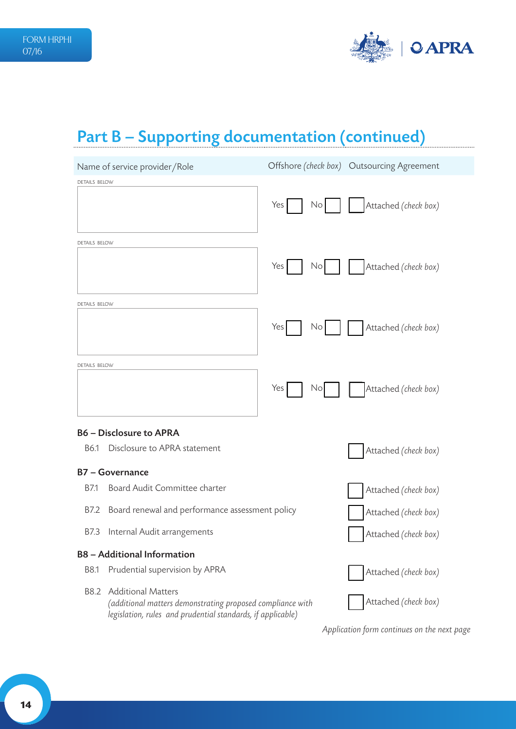

## Part B – Supporting documentation (continued)

|                      | Name of service provider/Role                                                                                                                          |           | Offshore (check box) Outsourcing Agreement |
|----------------------|--------------------------------------------------------------------------------------------------------------------------------------------------------|-----------|--------------------------------------------|
| <b>DETAILS BELOW</b> |                                                                                                                                                        |           |                                            |
|                      |                                                                                                                                                        | Yes<br>No | Attached (check box)                       |
| <b>DETAILS BELOW</b> |                                                                                                                                                        |           |                                            |
|                      |                                                                                                                                                        | Yes<br>No | Attached (check box)                       |
| DETAILS BELOW        |                                                                                                                                                        |           |                                            |
|                      |                                                                                                                                                        | Yes<br>No | Attached (check box)                       |
| <b>DETAILS BELOW</b> |                                                                                                                                                        |           |                                            |
|                      |                                                                                                                                                        | Yes<br>No | Attached (check box)                       |
|                      | <b>B6 - Disclosure to APRA</b>                                                                                                                         |           |                                            |
| B6.1                 | Disclosure to APRA statement                                                                                                                           |           | Attached (check box)                       |
|                      | <b>B7-Governance</b>                                                                                                                                   |           |                                            |
| B7.1                 | Board Audit Committee charter                                                                                                                          |           | Attached (check box)                       |
| B7.2                 | Board renewal and performance assessment policy                                                                                                        |           | Attached (check box)                       |
| B7.3                 | Internal Audit arrangements                                                                                                                            |           | Attached (check box)                       |
|                      | <b>B8</b> - Additional Information                                                                                                                     |           |                                            |
| B8.1                 | Prudential supervision by APRA                                                                                                                         |           | Attached (check box)                       |
| B8.2                 | <b>Additional Matters</b><br>(additional matters demonstrating proposed compliance with<br>legislation, rules and prudential standards, if applicable) |           | Attached (check box)                       |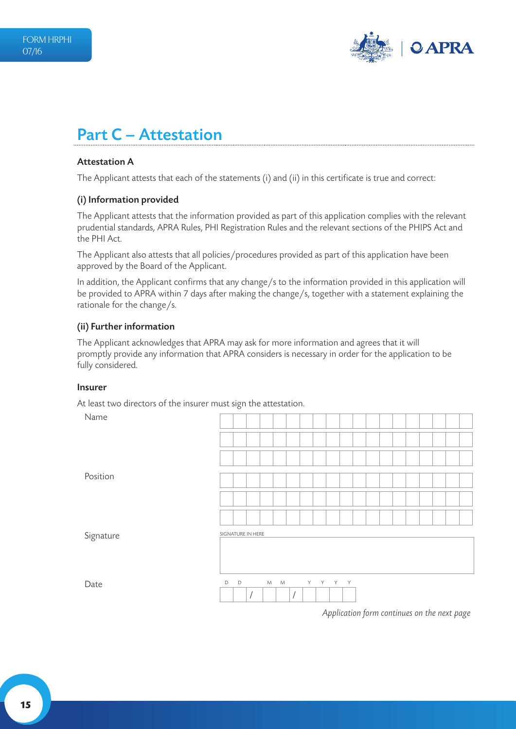

### Part C – Attestation

#### Attestation A

The Applicant attests that each of the statements (i) and (ii) in this certificate is true and correct:

#### (i) Information provided

The Applicant attests that the information provided as part of this application complies with the relevant prudential standards, APRA Rules, PHI Registration Rules and the relevant sections of the PHIPS Act and the PHI Act.

The Applicant also attests that all policies/procedures provided as part of this application have been approved by the Board of the Applicant.

In addition, the Applicant confirms that any change/s to the information provided in this application will be provided to APRA within 7 days after making the change/s, together with a statement explaining the rationale for the change/s.

#### (ii) Further information

The Applicant acknowledges that APRA may ask for more information and agrees that it will promptly provide any information that APRA considers is necessary in order for the application to be fully considered.

#### Insurer

At least two directors of the insurer must sign the attestation.

Name

| <b>Name</b> |   |                   |                             |          |         |  |  |  |  |  |  |
|-------------|---|-------------------|-----------------------------|----------|---------|--|--|--|--|--|--|
|             |   |                   |                             |          |         |  |  |  |  |  |  |
|             |   |                   |                             |          |         |  |  |  |  |  |  |
| Position    |   |                   |                             |          |         |  |  |  |  |  |  |
|             |   |                   |                             |          |         |  |  |  |  |  |  |
|             |   |                   |                             |          |         |  |  |  |  |  |  |
| Signature   |   | SIGNATURE IN HERE |                             |          |         |  |  |  |  |  |  |
| Date        | D | $\mathsf D$       | ${\mathsf M}$ ${\mathsf M}$ | $\prime$ | Y Y Y Y |  |  |  |  |  |  |
|             |   |                   |                             |          |         |  |  |  |  |  |  |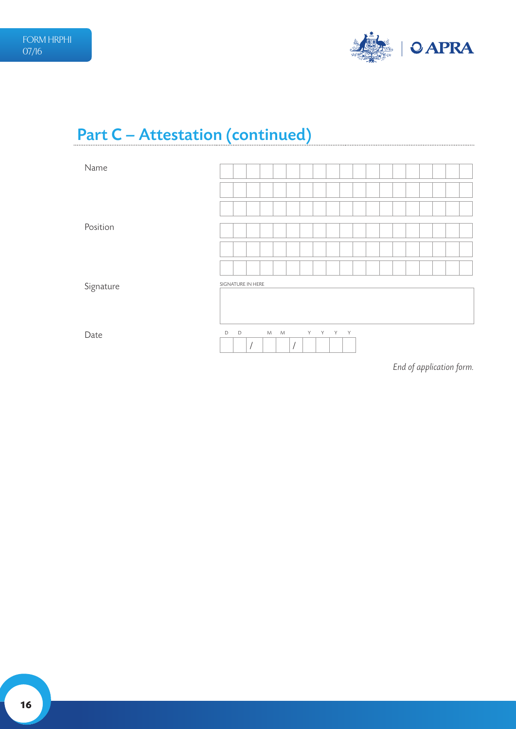

## Part C – Attestation (continued)

| Name      |                   |             |            |                             |                      |    |       |  |  |  |  |  |
|-----------|-------------------|-------------|------------|-----------------------------|----------------------|----|-------|--|--|--|--|--|
|           |                   |             |            |                             |                      |    |       |  |  |  |  |  |
|           |                   |             |            |                             |                      |    |       |  |  |  |  |  |
| Position  |                   |             |            |                             |                      |    |       |  |  |  |  |  |
|           |                   |             |            |                             |                      |    |       |  |  |  |  |  |
|           |                   |             |            |                             |                      |    |       |  |  |  |  |  |
| Signature | SIGNATURE IN HERE |             |            |                             |                      |    |       |  |  |  |  |  |
|           |                   |             |            |                             |                      |    |       |  |  |  |  |  |
| Date      | $\mathsf D$       | $\mathsf D$ | $\sqrt{ }$ | ${\mathsf M}$ ${\mathsf M}$ | $\sqrt{\phantom{a}}$ | Y. | Y Y Y |  |  |  |  |  |

*End of application form.*